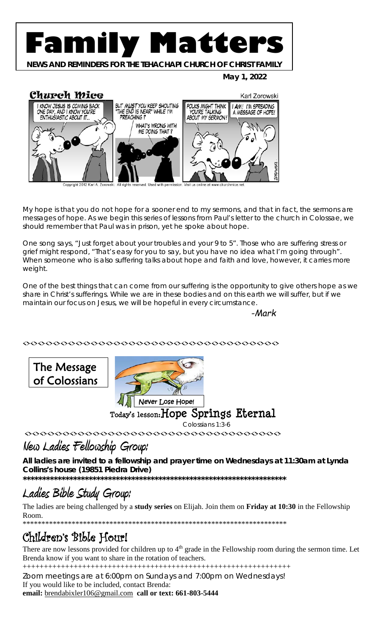# **Family Matters**

**NEWS AND REMINDERS FOR THE TEHACHAPI CHURCH OF CHRIST FAMILY**

 **May 1, 2022**



My hope is that you do not hope for a sooner end to my sermons, and that in fact, the sermons are messages of hope. As we begin this series of lessons from Paul's letter to the church in Colossae, we should remember that Paul was in prison, yet he spoke about hope.

One song says, "Just forget about your troubles and your 9 to 5". Those who are suffering stress or grief might respond, "That's easy for you to say, but you have no idea what I'm going through". When someone who is also suffering talks about hope and faith and love, however, it carries more weight.

One of the best things that can come from our suffering is the opportunity to give others hope as we share in Christ's sufferings. While we are in these bodies and on this earth we will suffer, but if we maintain our focus on Jesus, we will be hopeful in every circumstance.

*-Mark*

<><><><><><><><><><><><><><><><><><><><><><><><><><><><><><><><><><>

The Message of Colossians



 **Today's lesson:Hope Springs Eternal**

Colossians 1:3-6

◇◇◇◇◇◇◇◇◇◇◇◇◇◇◇◇◇◇◇◇◇◇◇◇◇◇◇◇◇◇◇◇◇

## **New Ladies Fellowship Group:**

**All ladies are invited to a fellowship and prayer time on Wednesdays at 11:30am at Lynda Collins's house (19851 Piedra Drive)**

**\*\*\*\*\*\*\*\*\*\*\*\*\*\*\*\*\*\*\*\*\*\*\*\*\*\*\*\*\*\*\*\*\*\*\*\*\*\*\*\*\*\*\*\*\*\*\*\*\*\*\*\*\*\*\*\*\*\*\*\*\*\*\*\*\*\*\*\***

# **Ladies Bible Study Group:**

The ladies are being challenged by a **study series** on Elijah. Join them on **Friday at 10:30** in the Fellowship Room.

\*\*\*\*\*\*\*\*\*\*\*\*\*\*\*\*\*\*\*\*\*\*\*\*\*\*\*\*\*\*\*\*\*\*\*\*\*\*\*\*\*\*\*\*\*\*\*\*\*\*\*\*\*\*\*\*\*\*\*\*\*\*\*\*\*\*\*\*\*\*

# Children's Bible Hour!

There are now lessons provided for children up to 4<sup>th</sup> grade in the Fellowship room during the sermon time. Let Brenda know if you want to share in the rotation of teachers.

+++++++++++++++++++++++++++++++++++++++++++++++++++++++++++++++

Zoom meetings are at 6:00pm on Sundays and 7:00pm on Wednesdays! If you would like to be included, contact Brenda:

**email:** [brendabixler106@gmail.com](mailto:brendabixler106@gmail.com) **call or text: 661-803-5444**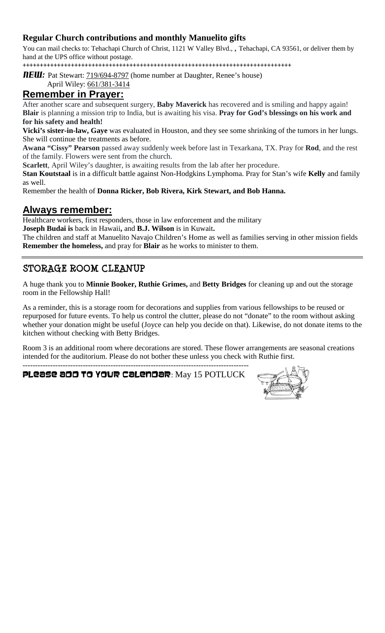#### **Regular Church contributions and monthly Manuelito gifts**

You can mail checks to: Tehachapi Church of Christ, 1121 W Valley Blvd., , Tehachapi, CA 93561, or deliver them by hand at the UPS office without postage.

++++++++++++++++++++++++++++++++++++++++++++++++++++++++++++++++++++++++++++++

**NEW:** Pat Stewart: **719/694-8797** (home number at Daughter, Renee's house)

April Wiley: 661/381-3414

#### **Remember in Prayer:**

After another scare and subsequent surgery, **Baby Maverick** has recovered and is smiling and happy again! **Blair** is planning a mission trip to India, but is awaiting his visa. **Pray for God's blessings on his work and for his safety and health!**

**Vicki's sister-in-law, Gaye** was evaluated in Houston, and they see some shrinking of the tumors in her lungs. She will continue the treatments as before.

**Awana "Cissy" Pearson** passed away suddenly week before last in Texarkana, TX. Pray for **Rod**, and the rest of the family. Flowers were sent from the church.

**Scarlett**, April Wiley's daughter, is awaiting results from the lab after her procedure.

**Stan Koutstaal** is in a difficult battle against Non-Hodgkins Lymphoma. Pray for Stan's wife **Kelly** and family as well.

Remember the health of **Donna Ricker, Bob Rivera, Kirk Stewart, and Bob Hanna.**

#### **Always remember:**

Healthcare workers, first responders, those in law enforcement and the military

**Joseph Budai is** back in Hawaii**,** and **B.J. Wilson** is in Kuwait**.**

The children and staff at Manuelito Navajo Children's Home as well as families serving in other mission fields **Remember the homeless,** and pray for **Blair** as he works to minister to them.

### **STORAGE ROOM CLEANUP**

A huge thank you to **Minnie Booker, Ruthie Grimes,** and **Betty Bridges** for cleaning up and out the storage room in the Fellowship Hall!

As a reminder, this is a storage room for decorations and supplies from various fellowships to be reused or repurposed for future events. To help us control the clutter, please do not "donate" to the room without asking whether your donation might be useful (Joyce can help you decide on that). Likewise, do not donate items to the kitchen without checking with Betty Bridges.

Room 3 is an additional room where decorations are stored. These flower arrangements are seasonal creations intended for the auditorium. Please do not bother these unless you check with Ruthie first.

------------------------------------------------------------------------------------------ Please add to your calendar: May 15 POTLUCK